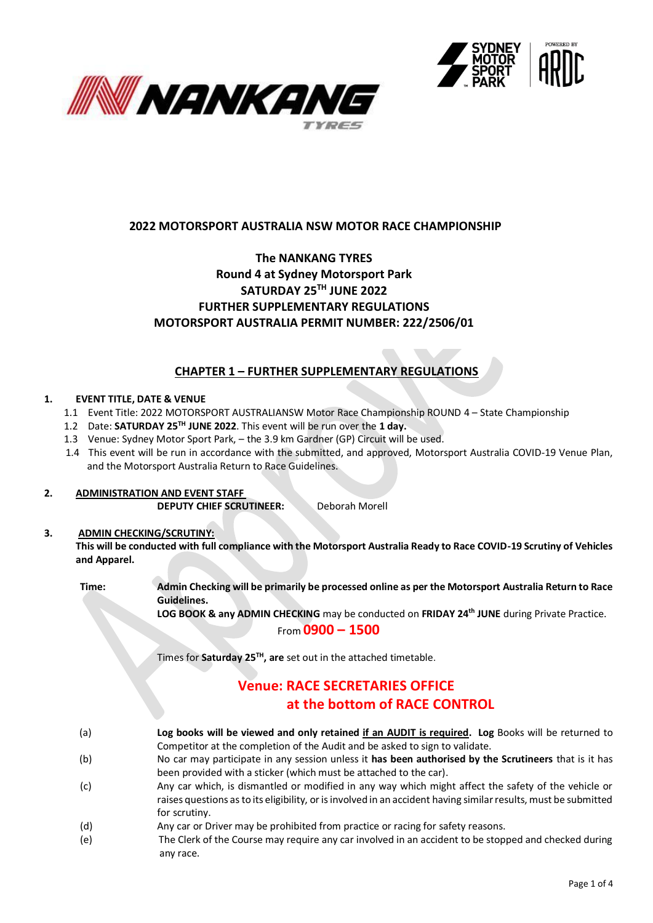



# **2022 MOTORSPORT AUSTRALIA NSW MOTOR RACE CHAMPIONSHIP**

### **The NANKANG TYRES Round 4 at Sydney Motorsport Park SATURDAY 25TH JUNE 2022 FURTHER SUPPLEMENTARY REGULATIONS MOTORSPORT AUSTRALIA PERMIT NUMBER: 222/2506/01**

### **CHAPTER 1 – FURTHER SUPPLEMENTARY REGULATIONS**

#### **1. EVENT TITLE, DATE & VENUE**

- 1.1 Event Title: 2022 MOTORSPORT AUSTRALIANSW Motor Race Championship ROUND 4 State Championship
- 1.2 Date: **SATURDAY 25 TH JUNE 2022**. This event will be run over the **1 day.**
- 1.3 Venue: Sydney Motor Sport Park, the 3.9 km Gardner (GP) Circuit will be used.
- 1.4 This event will be run in accordance with the submitted, and approved, Motorsport Australia COVID-19 Venue Plan, and the Motorsport Australia Return to Race Guidelines.

### **2. ADMINISTRATION AND EVENT STAFF**

**DEPUTY CHIEF SCRUTINEER:** Deborah Morell

### **3. ADMIN CHECKING/SCRUTINY: This will be conducted with full compliance with the Motorsport Australia Ready to Race COVID-19 Scrutiny of Vehicles and Apparel.**

**Time: Admin Checking will be primarily be processed online as per the Motorsport Australia Return to Race Guidelines. LOG BOOK & any ADMIN CHECKING** may be conducted on **FRIDAY 24 th JUNE** during Private Practice. From **0900 – 1500**

Times for **Saturday 25<sup>TH</sup>**, are set out in the attached timetable.

# **Venue: RACE SECRETARIES OFFICE at the bottom of RACE CONTROL**

- (a) **Log books will be viewed and only retained if an AUDIT is required. Log** Books will be returned to Competitor at the completion of the Audit and be asked to sign to validate.
- (b) No car may participate in any session unless it **has been authorised by the Scrutineers** that is it has been provided with a sticker (which must be attached to the car).
- (c) Any car which, is dismantled or modified in any way which might affect the safety of the vehicle or raises questions as to its eligibility, or is involved in an accident having similar results, must be submitted for scrutiny.
- (d) Any car or Driver may be prohibited from practice or racing for safety reasons.
- (e) The Clerk of the Course may require any car involved in an accident to be stopped and checked during any race.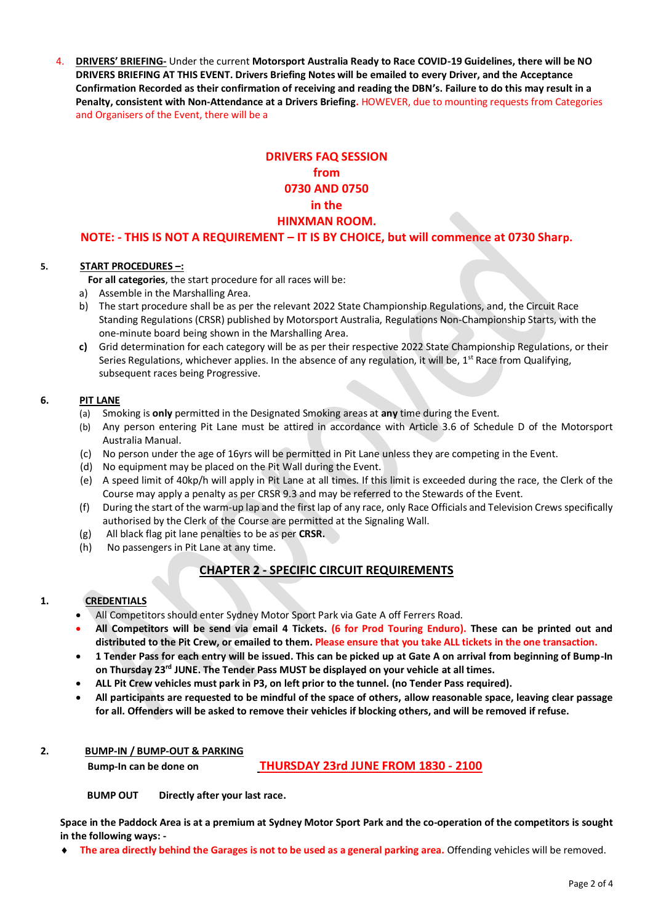4. **DRIVERS' BRIEFING-** Under the current **Motorsport Australia Ready to Race COVID-19 Guidelines, there will be NO DRIVERS BRIEFING AT THIS EVENT. Drivers Briefing Notes will be emailed to every Driver, and the Acceptance Confirmation Recorded as their confirmation of receiving and reading the DBN's. Failure to do this may result in a Penalty, consistent with Non-Attendance at a Drivers Briefing.** HOWEVER, due to mounting requests from Categories and Organisers of the Event, there will be a

# **DRIVERS FAQ SESSION from 0730 AND 0750 in the HINXMAN ROOM.**

**NOTE: - THIS IS NOT A REQUIREMENT – IT IS BY CHOICE, but will commence at 0730 Sharp.**

### **5. START PROCEDURES –:**

 **For all categories**, the start procedure for all races will be:

- a) Assemble in the Marshalling Area.
- b) The start procedure shall be as per the relevant 2022 State Championship Regulations, and, the Circuit Race Standing Regulations (CRSR) published by Motorsport Australia, Regulations Non-Championship Starts, with the one-minute board being shown in the Marshalling Area.
- **c)** Grid determination for each category will be as per their respective 2022 State Championship Regulations, or their Series Regulations, whichever applies. In the absence of any regulation, it will be,  $1^{st}$  Race from Qualifying, subsequent races being Progressive.

### **6. PIT LANE**

- (a) Smoking is **only** permitted in the Designated Smoking areas at **any** time during the Event.
- (b) Any person entering Pit Lane must be attired in accordance with Article 3.6 of Schedule D of the Motorsport Australia Manual.
- (c) No person under the age of 16yrs will be permitted in Pit Lane unless they are competing in the Event.
- (d) No equipment may be placed on the Pit Wall during the Event.
- (e) A speed limit of 40kp/h will apply in Pit Lane at all times. If this limit is exceeded during the race, the Clerk of the Course may apply a penalty as per CRSR 9.3 and may be referred to the Stewards of the Event.
- (f) During the start of the warm-up lap and the first lap of any race, only Race Officials and Television Crews specifically authorised by the Clerk of the Course are permitted at the Signaling Wall.
- (g) All black flag pit lane penalties to be as per **CRSR.**
- (h) No passengers in Pit Lane at any time.

# **CHAPTER 2 - SPECIFIC CIRCUIT REQUIREMENTS**

### **1. CREDENTIALS**

- All Competitors should enter Sydney Motor Sport Park via Gate A off Ferrers Road.
- **All Competitors will be send via email 4 Tickets. (6 for Prod Touring Enduro). These can be printed out and distributed to the Pit Crew, or emailed to them. Please ensure that you take ALL tickets in the one transaction.**
- **1 Tender Pass for each entry will be issued. This can be picked up at Gate A on arrival from beginning of Bump-In on Thursday 23rd JUNE. The Tender Pass MUST be displayed on your vehicle at all times.**
- **ALL Pit Crew vehicles must park in P3, on left prior to the tunnel. (no Tender Pass required).**
- **All participants are requested to be mindful of the space of others, allow reasonable space, leaving clear passage for all. Offenders will be asked to remove their vehicles if blocking others, and will be removed if refuse.**

# **2. BUMP-IN / BUMP-OUT & PARKING**

 **Bump-In can be done on THURSDAY 23rd JUNE FROM 1830 - 2100**

 **BUMP OUT Directly after your last race.**

**Space in the Paddock Area is at a premium at Sydney Motor Sport Park and the co-operation of the competitors is sought in the following ways: -**

**The area directly behind the Garages is not to be used as a general parking area.** Offending vehicles will be removed.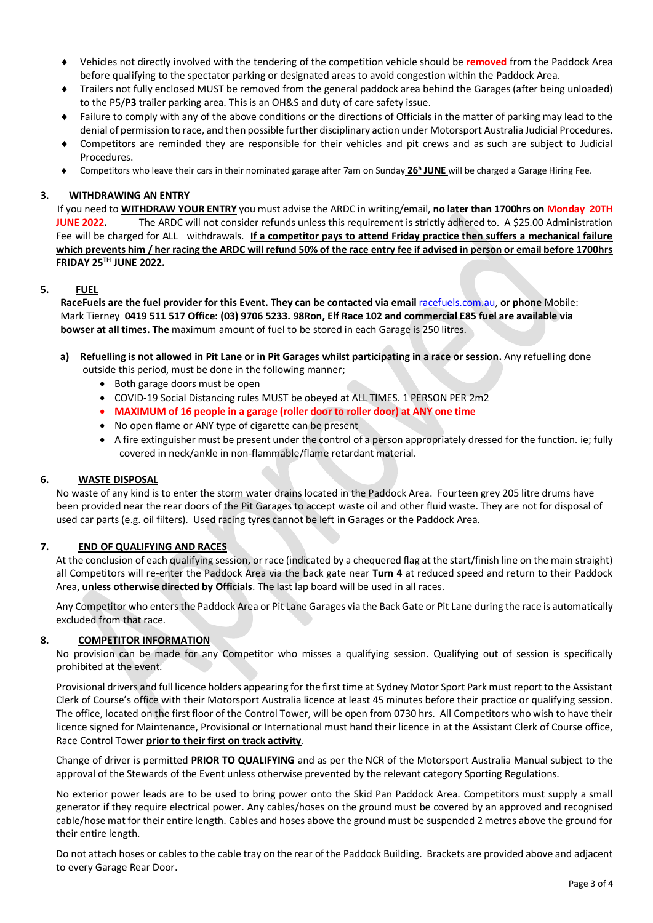- Vehicles not directly involved with the tendering of the competition vehicle should be **removed** from the Paddock Area before qualifying to the spectator parking or designated areas to avoid congestion within the Paddock Area.
- Trailers not fully enclosed MUST be removed from the general paddock area behind the Garages (after being unloaded) to the P5/**P3** trailer parking area. This is an OH&S and duty of care safety issue.
- Failure to comply with any of the above conditions or the directions of Officials in the matter of parking may lead to the denial of permission to race, and then possible further disciplinary action under Motorsport Australia Judicial Procedures.
- Competitors are reminded they are responsible for their vehicles and pit crews and as such are subject to Judicial Procedures.
- ◆ Competitors who leave their cars in their nominated garage after 7am on Sunday 26<sup>h</sup> JUNE will be charged a Garage Hiring Fee.

### **3. WITHDRAWING AN ENTRY**

 If you need to **WITHDRAW YOUR ENTRY** you must advise the ARDC in writing/email, **no later than 1700hrs on Monday 20TH JUNE 2022.** The ARDC will not consider refunds unless this requirement is strictly adhered to. A \$25.00 Administration Fee will be charged for ALL withdrawals. **If a competitor pays to attend Friday practice then suffers a mechanical failure which prevents him / her racing the ARDC will refund 50% of the race entry fee if advised in person or email before 1700hrs FRIDAY 25TH JUNE 2022.** 

#### **5. FUEL**

 **RaceFuels are the fuel provider for this Event. They can be contacted via email** [racefuels.com.au,](http://www.racefuels.com.au/) **or phone** Mobile: Mark Tierney **0419 511 517 Office: (03) 9706 5233. 98Ron, Elf Race 102 and commercial E85 fuel are available via bowser at all times. The** maximum amount of fuel to be stored in each Garage is 250 litres.

### **a) Refuelling is not allowed in Pit Lane or in Pit Garages whilst participating in a race or session.** Any refuelling done outside this period, must be done in the following manner;

- Both garage doors must be open
- COVID-19 Social Distancing rules MUST be obeyed at ALL TIMES. 1 PERSON PER 2m2
- **MAXIMUM of 16 people in a garage (roller door to roller door) at ANY one time**
- No open flame or ANY type of cigarette can be present
- A fire extinguisher must be present under the control of a person appropriately dressed for the function. ie; fully covered in neck/ankle in non-flammable/flame retardant material.

#### **6. WASTE DISPOSAL**

No waste of any kind is to enter the storm water drains located in the Paddock Area. Fourteen grey 205 litre drums have been provided near the rear doors of the Pit Garages to accept waste oil and other fluid waste. They are not for disposal of used car parts (e.g. oil filters). Used racing tyres cannot be left in Garages or the Paddock Area.

#### **7. END OF QUALIFYING AND RACES**

At the conclusion of each qualifying session, or race (indicated by a chequered flag at the start/finish line on the main straight) all Competitors will re-enter the Paddock Area via the back gate near **Turn 4** at reduced speed and return to their Paddock Area, **unless otherwise directed by Officials**. The last lap board will be used in all races.

Any Competitor who enters the Paddock Area or Pit Lane Garages via the Back Gate or Pit Lane during the race is automatically excluded from that race.

### **8. COMPETITOR INFORMATION**

No provision can be made for any Competitor who misses a qualifying session. Qualifying out of session is specifically prohibited at the event.

Provisional drivers and full licence holders appearing for the first time at Sydney Motor Sport Park must report to the Assistant Clerk of Course's office with their Motorsport Australia licence at least 45 minutes before their practice or qualifying session. The office, located on the first floor of the Control Tower, will be open from 0730 hrs. All Competitors who wish to have their licence signed for Maintenance, Provisional or International must hand their licence in at the Assistant Clerk of Course office, Race Control Tower **prior to their first on track activity**.

Change of driver is permitted **PRIOR TO QUALIFYING** and as per the NCR of the Motorsport Australia Manual subject to the approval of the Stewards of the Event unless otherwise prevented by the relevant category Sporting Regulations.

No exterior power leads are to be used to bring power onto the Skid Pan Paddock Area. Competitors must supply a small generator if they require electrical power. Any cables/hoses on the ground must be covered by an approved and recognised cable/hose mat for their entire length. Cables and hoses above the ground must be suspended 2 metres above the ground for their entire length.

Do not attach hoses or cables to the cable tray on the rear of the Paddock Building. Brackets are provided above and adjacent to every Garage Rear Door.